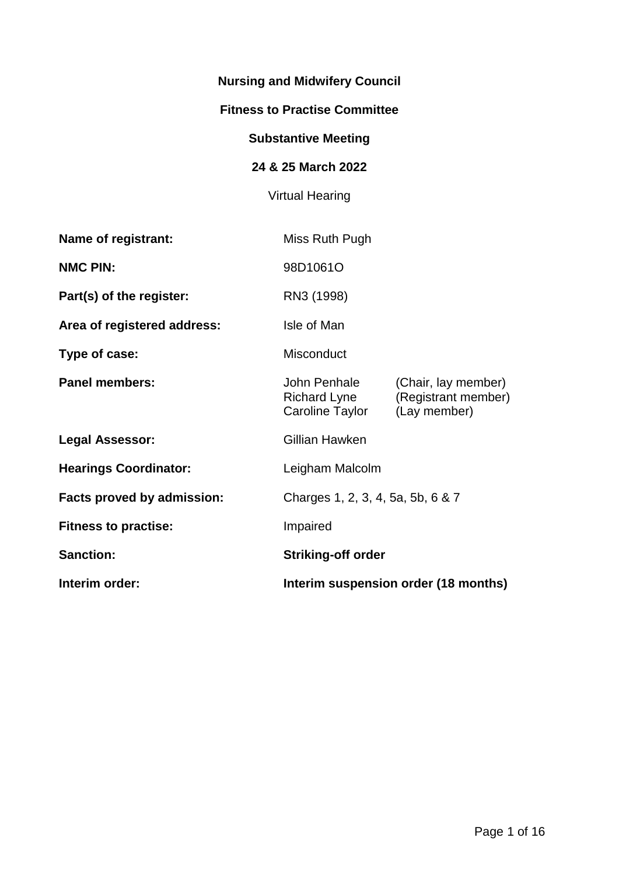# **Nursing and Midwifery Council**

#### **Fitness to Practise Committee**

# **Substantive Meeting**

# **24 & 25 March 2022**

# Virtual Hearing

| <b>Name of registrant:</b>        | Miss Ruth Pugh                                  |                                                            |
|-----------------------------------|-------------------------------------------------|------------------------------------------------------------|
| <b>NMC PIN:</b>                   | 98D1061O                                        |                                                            |
| Part(s) of the register:          | RN3 (1998)                                      |                                                            |
| Area of registered address:       | Isle of Man                                     |                                                            |
| Type of case:                     | Misconduct                                      |                                                            |
| <b>Panel members:</b>             | John Penhale<br>Richard Lyne<br>Caroline Taylor | (Chair, lay member)<br>(Registrant member)<br>(Lay member) |
| <b>Legal Assessor:</b>            | Gillian Hawken                                  |                                                            |
| <b>Hearings Coordinator:</b>      | Leigham Malcolm                                 |                                                            |
| <b>Facts proved by admission:</b> | Charges 1, 2, 3, 4, 5a, 5b, 6 & 7               |                                                            |
| <b>Fitness to practise:</b>       | Impaired                                        |                                                            |
| <b>Sanction:</b>                  | <b>Striking-off order</b>                       |                                                            |
| Interim order:                    | Interim suspension order (18 months)            |                                                            |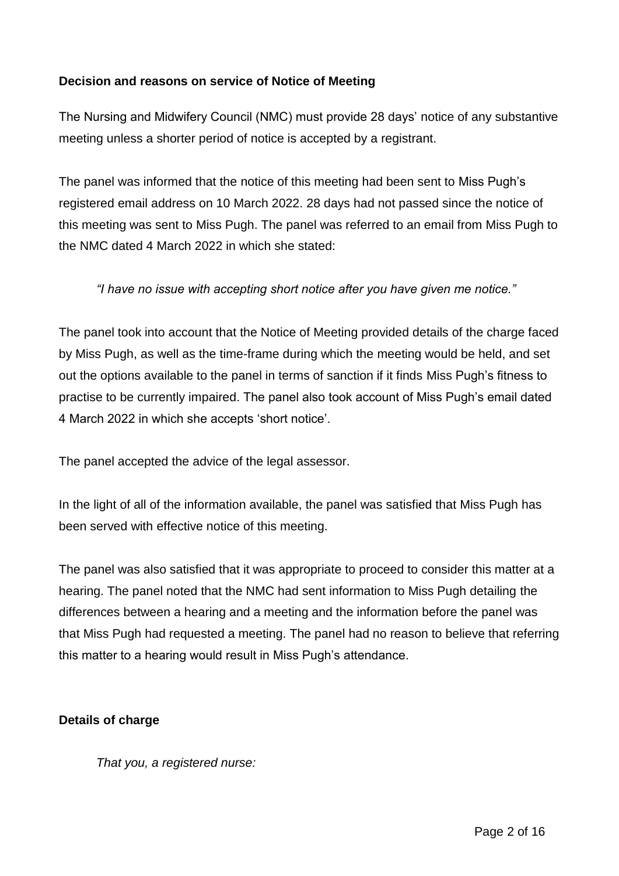## **Decision and reasons on service of Notice of Meeting**

The Nursing and Midwifery Council (NMC) must provide 28 days' notice of any substantive meeting unless a shorter period of notice is accepted by a registrant.

The panel was informed that the notice of this meeting had been sent to Miss Pugh's registered email address on 10 March 2022. 28 days had not passed since the notice of this meeting was sent to Miss Pugh. The panel was referred to an email from Miss Pugh to the NMC dated 4 March 2022 in which she stated:

*"I have no issue with accepting short notice after you have given me notice."*

The panel took into account that the Notice of Meeting provided details of the charge faced by Miss Pugh, as well as the time-frame during which the meeting would be held, and set out the options available to the panel in terms of sanction if it finds Miss Pugh's fitness to practise to be currently impaired. The panel also took account of Miss Pugh's email dated 4 March 2022 in which she accepts 'short notice'.

The panel accepted the advice of the legal assessor.

In the light of all of the information available, the panel was satisfied that Miss Pugh has been served with effective notice of this meeting.

The panel was also satisfied that it was appropriate to proceed to consider this matter at a hearing. The panel noted that the NMC had sent information to Miss Pugh detailing the differences between a hearing and a meeting and the information before the panel was that Miss Pugh had requested a meeting. The panel had no reason to believe that referring this matter to a hearing would result in Miss Pugh's attendance.

#### **Details of charge**

*That you, a registered nurse:*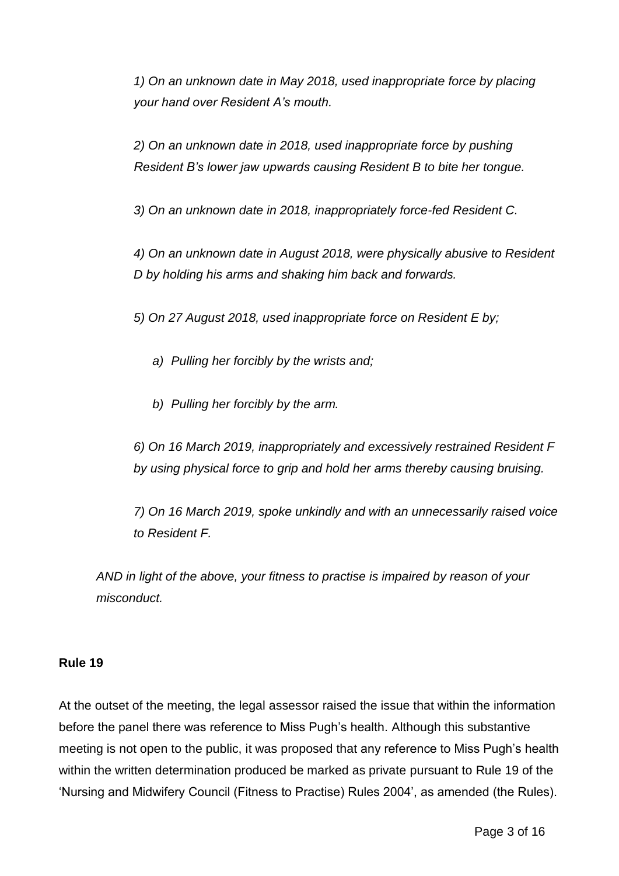*1) On an unknown date in May 2018, used inappropriate force by placing your hand over Resident A's mouth.*

*2) On an unknown date in 2018, used inappropriate force by pushing Resident B's lower jaw upwards causing Resident B to bite her tongue.*

*3) On an unknown date in 2018, inappropriately force-fed Resident C.*

*4) On an unknown date in August 2018, were physically abusive to Resident D by holding his arms and shaking him back and forwards.*

*5) On 27 August 2018, used inappropriate force on Resident E by;*

- *a) Pulling her forcibly by the wrists and;*
- *b) Pulling her forcibly by the arm.*

*6) On 16 March 2019, inappropriately and excessively restrained Resident F by using physical force to grip and hold her arms thereby causing bruising.*

*7) On 16 March 2019, spoke unkindly and with an unnecessarily raised voice to Resident F.*

*AND in light of the above, your fitness to practise is impaired by reason of your misconduct.*

#### **Rule 19**

At the outset of the meeting, the legal assessor raised the issue that within the information before the panel there was reference to Miss Pugh's health. Although this substantive meeting is not open to the public, it was proposed that any reference to Miss Pugh's health within the written determination produced be marked as private pursuant to Rule 19 of the 'Nursing and Midwifery Council (Fitness to Practise) Rules 2004', as amended (the Rules).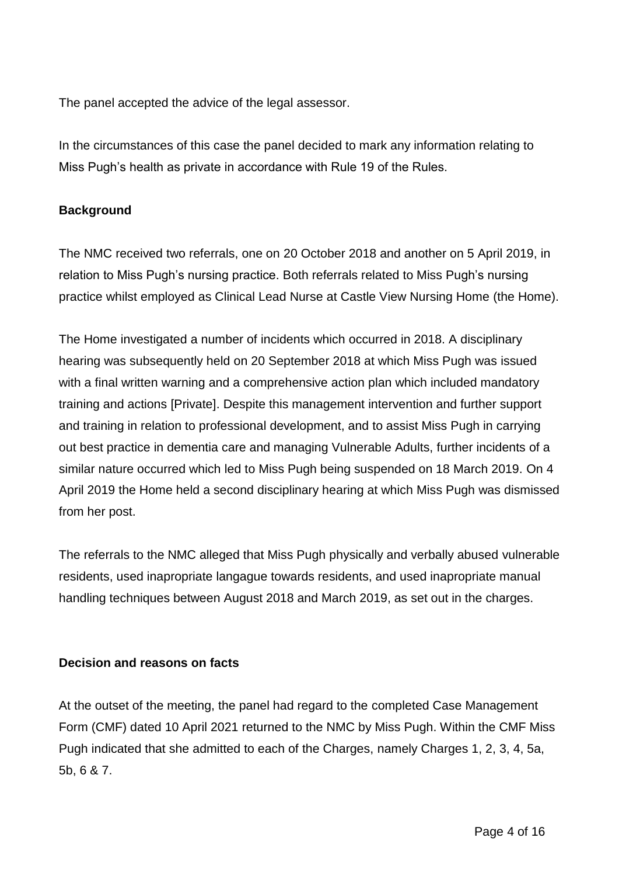The panel accepted the advice of the legal assessor.

In the circumstances of this case the panel decided to mark any information relating to Miss Pugh's health as private in accordance with Rule 19 of the Rules.

### **Background**

The NMC received two referrals, one on 20 October 2018 and another on 5 April 2019, in relation to Miss Pugh's nursing practice. Both referrals related to Miss Pugh's nursing practice whilst employed as Clinical Lead Nurse at Castle View Nursing Home (the Home).

The Home investigated a number of incidents which occurred in 2018. A disciplinary hearing was subsequently held on 20 September 2018 at which Miss Pugh was issued with a final written warning and a comprehensive action plan which included mandatory training and actions [Private]. Despite this management intervention and further support and training in relation to professional development, and to assist Miss Pugh in carrying out best practice in dementia care and managing Vulnerable Adults, further incidents of a similar nature occurred which led to Miss Pugh being suspended on 18 March 2019. On 4 April 2019 the Home held a second disciplinary hearing at which Miss Pugh was dismissed from her post.

The referrals to the NMC alleged that Miss Pugh physically and verbally abused vulnerable residents, used inapropriate langague towards residents, and used inapropriate manual handling techniques between August 2018 and March 2019, as set out in the charges.

#### **Decision and reasons on facts**

At the outset of the meeting, the panel had regard to the completed Case Management Form (CMF) dated 10 April 2021 returned to the NMC by Miss Pugh. Within the CMF Miss Pugh indicated that she admitted to each of the Charges, namely Charges 1, 2, 3, 4, 5a, 5b, 6 & 7.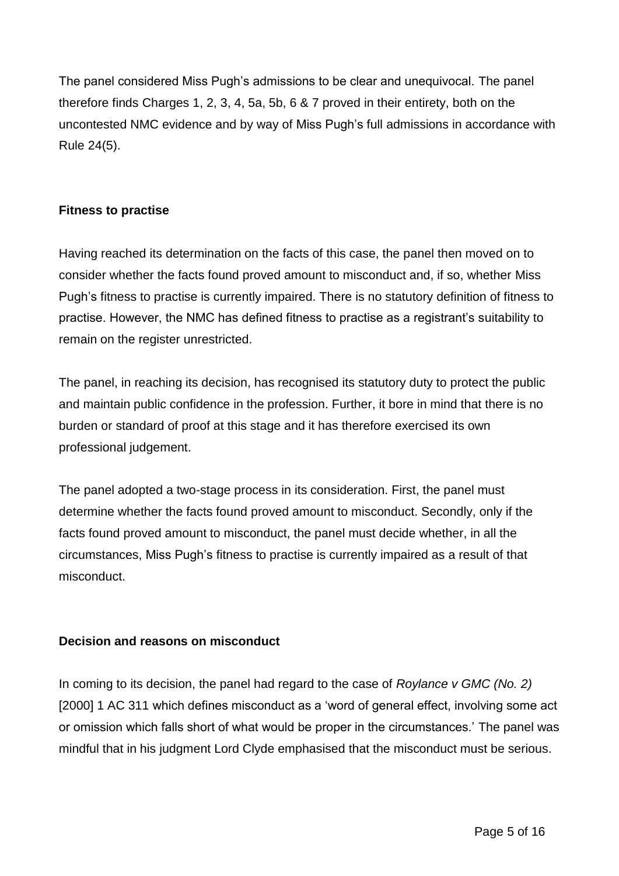The panel considered Miss Pugh's admissions to be clear and unequivocal. The panel therefore finds Charges 1, 2, 3, 4, 5a, 5b, 6 & 7 proved in their entirety, both on the uncontested NMC evidence and by way of Miss Pugh's full admissions in accordance with Rule 24(5).

### **Fitness to practise**

Having reached its determination on the facts of this case, the panel then moved on to consider whether the facts found proved amount to misconduct and, if so, whether Miss Pugh's fitness to practise is currently impaired. There is no statutory definition of fitness to practise. However, the NMC has defined fitness to practise as a registrant's suitability to remain on the register unrestricted.

The panel, in reaching its decision, has recognised its statutory duty to protect the public and maintain public confidence in the profession. Further, it bore in mind that there is no burden or standard of proof at this stage and it has therefore exercised its own professional judgement.

The panel adopted a two-stage process in its consideration. First, the panel must determine whether the facts found proved amount to misconduct. Secondly, only if the facts found proved amount to misconduct, the panel must decide whether, in all the circumstances, Miss Pugh's fitness to practise is currently impaired as a result of that misconduct.

## **Decision and reasons on misconduct**

In coming to its decision, the panel had regard to the case of *Roylance v GMC (No. 2)*  [2000] 1 AC 311 which defines misconduct as a 'word of general effect, involving some act or omission which falls short of what would be proper in the circumstances.' The panel was mindful that in his judgment Lord Clyde emphasised that the misconduct must be serious.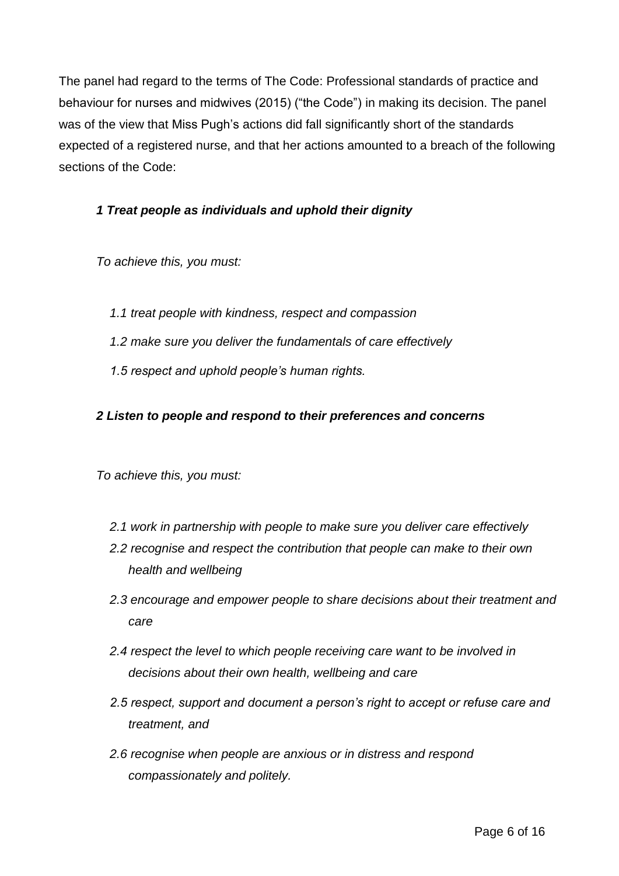The panel had regard to the terms of The Code: Professional standards of practice and behaviour for nurses and midwives (2015) ("the Code") in making its decision. The panel was of the view that Miss Pugh's actions did fall significantly short of the standards expected of a registered nurse, and that her actions amounted to a breach of the following sections of the Code:

## *1 Treat people as individuals and uphold their dignity*

*To achieve this, you must:* 

- *1.1 treat people with kindness, respect and compassion*
- *1.2 make sure you deliver the fundamentals of care effectively*
- *1.5 respect and uphold people's human rights.*

#### *2 Listen to people and respond to their preferences and concerns*

*To achieve this, you must:* 

- *2.1 work in partnership with people to make sure you deliver care effectively*
- *2.2 recognise and respect the contribution that people can make to their own health and wellbeing*
- *2.3 encourage and empower people to share decisions about their treatment and care*
- *2.4 respect the level to which people receiving care want to be involved in decisions about their own health, wellbeing and care*
- *2.5 respect, support and document a person's right to accept or refuse care and treatment, and*
- *2.6 recognise when people are anxious or in distress and respond compassionately and politely.*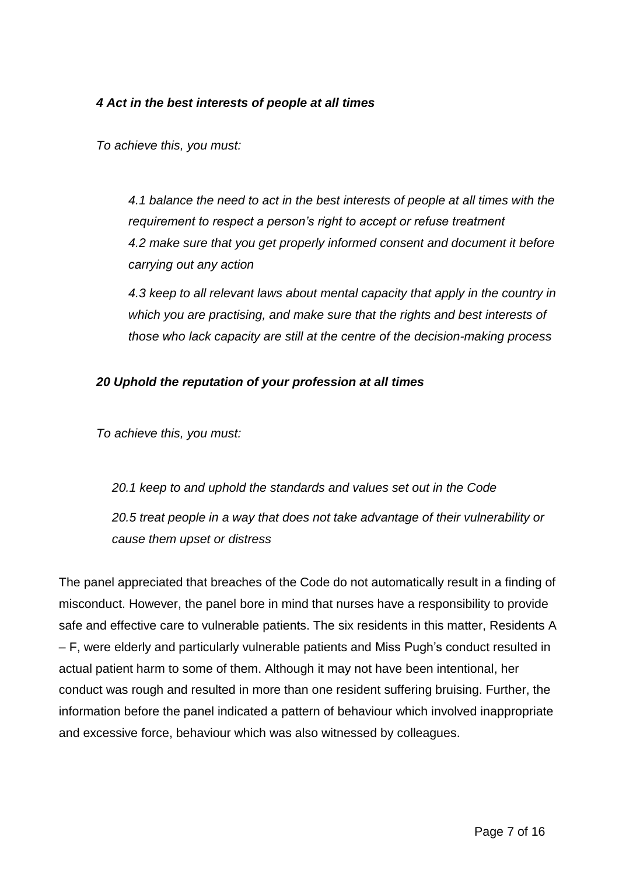## *4 Act in the best interests of people at all times*

*To achieve this, you must:*

*4.1 balance the need to act in the best interests of people at all times with the requirement to respect a person's right to accept or refuse treatment 4.2 make sure that you get properly informed consent and document it before carrying out any action* 

*4.3 keep to all relevant laws about mental capacity that apply in the country in which you are practising, and make sure that the rights and best interests of those who lack capacity are still at the centre of the decision-making process*

## *20 Uphold the reputation of your profession at all times*

*To achieve this, you must:*

*20.1 keep to and uphold the standards and values set out in the Code 20.5 treat people in a way that does not take advantage of their vulnerability or cause them upset or distress*

The panel appreciated that breaches of the Code do not automatically result in a finding of misconduct. However, the panel bore in mind that nurses have a responsibility to provide safe and effective care to vulnerable patients. The six residents in this matter, Residents A – F, were elderly and particularly vulnerable patients and Miss Pugh's conduct resulted in actual patient harm to some of them. Although it may not have been intentional, her conduct was rough and resulted in more than one resident suffering bruising. Further, the information before the panel indicated a pattern of behaviour which involved inappropriate and excessive force, behaviour which was also witnessed by colleagues.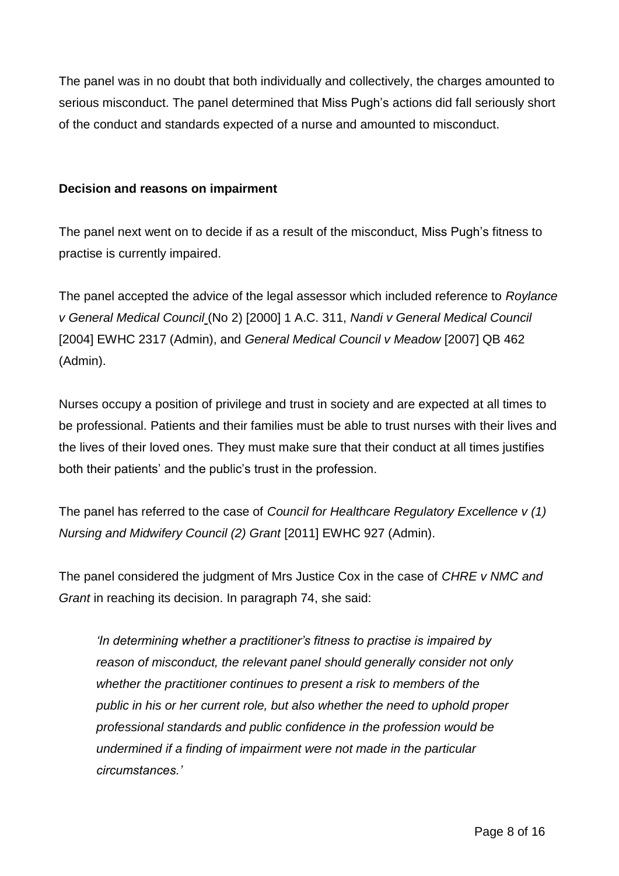The panel was in no doubt that both individually and collectively, the charges amounted to serious misconduct. The panel determined that Miss Pugh's actions did fall seriously short of the conduct and standards expected of a nurse and amounted to misconduct.

#### **Decision and reasons on impairment**

The panel next went on to decide if as a result of the misconduct, Miss Pugh's fitness to practise is currently impaired.

The panel accepted the advice of the legal assessor which included reference to *Roylance v General Medical Council* (No 2) [2000] 1 A.C. 311, *Nandi v General Medical Council*  [2004] EWHC 2317 (Admin), and *General Medical Council v Meadow* [2007] QB 462 (Admin).

Nurses occupy a position of privilege and trust in society and are expected at all times to be professional. Patients and their families must be able to trust nurses with their lives and the lives of their loved ones. They must make sure that their conduct at all times justifies both their patients' and the public's trust in the profession.

The panel has referred to the case of *Council for Healthcare Regulatory Excellence v (1) Nursing and Midwifery Council (2) Grant* [2011] EWHC 927 (Admin).

The panel considered the judgment of Mrs Justice Cox in the case of *CHRE v NMC and Grant* in reaching its decision. In paragraph 74, she said:

*'In determining whether a practitioner's fitness to practise is impaired by reason of misconduct, the relevant panel should generally consider not only whether the practitioner continues to present a risk to members of the public in his or her current role, but also whether the need to uphold proper professional standards and public confidence in the profession would be undermined if a finding of impairment were not made in the particular circumstances.'*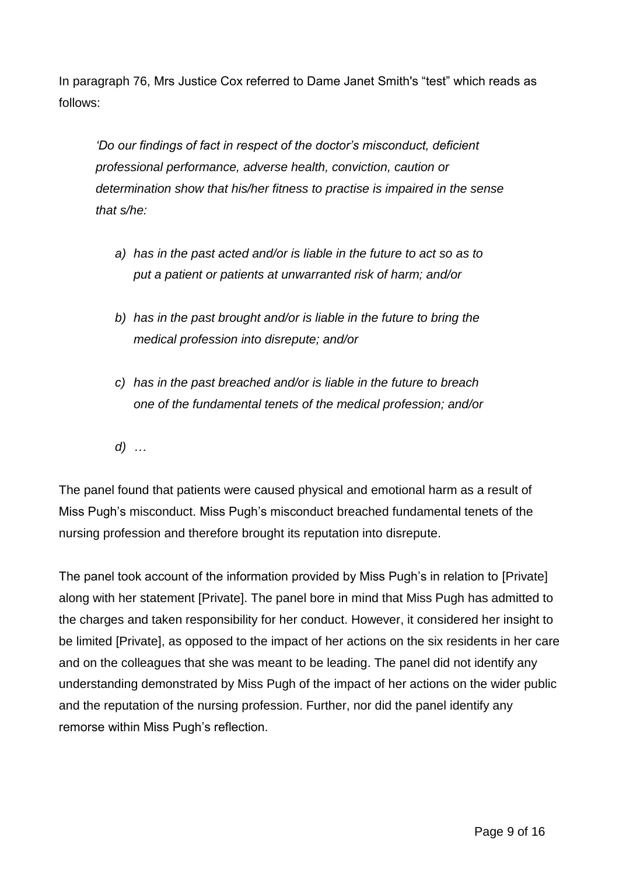In paragraph 76, Mrs Justice Cox referred to Dame Janet Smith's "test" which reads as follows:

*'Do our findings of fact in respect of the doctor's misconduct, deficient professional performance, adverse health, conviction, caution or determination show that his/her fitness to practise is impaired in the sense that s/he:*

- *a) has in the past acted and/or is liable in the future to act so as to put a patient or patients at unwarranted risk of harm; and/or*
- *b) has in the past brought and/or is liable in the future to bring the medical profession into disrepute; and/or*
- *c) has in the past breached and/or is liable in the future to breach one of the fundamental tenets of the medical profession; and/or*
- *d) …*

The panel found that patients were caused physical and emotional harm as a result of Miss Pugh's misconduct. Miss Pugh's misconduct breached fundamental tenets of the nursing profession and therefore brought its reputation into disrepute.

The panel took account of the information provided by Miss Pugh's in relation to [Private] along with her statement [Private]. The panel bore in mind that Miss Pugh has admitted to the charges and taken responsibility for her conduct. However, it considered her insight to be limited [Private], as opposed to the impact of her actions on the six residents in her care and on the colleagues that she was meant to be leading. The panel did not identify any understanding demonstrated by Miss Pugh of the impact of her actions on the wider public and the reputation of the nursing profession. Further, nor did the panel identify any remorse within Miss Pugh's reflection.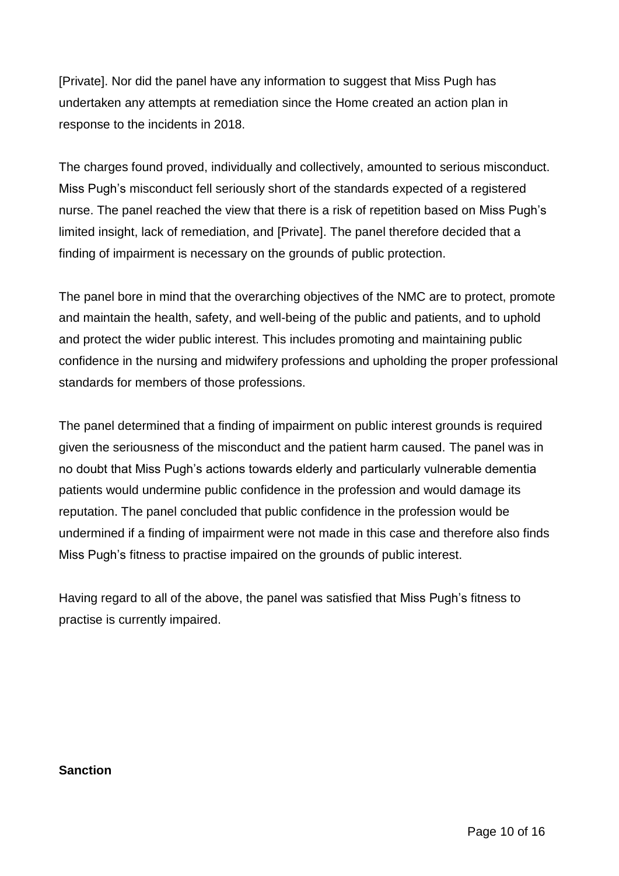[Private]. Nor did the panel have any information to suggest that Miss Pugh has undertaken any attempts at remediation since the Home created an action plan in response to the incidents in 2018.

The charges found proved, individually and collectively, amounted to serious misconduct. Miss Pugh's misconduct fell seriously short of the standards expected of a registered nurse. The panel reached the view that there is a risk of repetition based on Miss Pugh's limited insight, lack of remediation, and [Private]. The panel therefore decided that a finding of impairment is necessary on the grounds of public protection.

The panel bore in mind that the overarching objectives of the NMC are to protect, promote and maintain the health, safety, and well-being of the public and patients, and to uphold and protect the wider public interest. This includes promoting and maintaining public confidence in the nursing and midwifery professions and upholding the proper professional standards for members of those professions.

The panel determined that a finding of impairment on public interest grounds is required given the seriousness of the misconduct and the patient harm caused. The panel was in no doubt that Miss Pugh's actions towards elderly and particularly vulnerable dementia patients would undermine public confidence in the profession and would damage its reputation. The panel concluded that public confidence in the profession would be undermined if a finding of impairment were not made in this case and therefore also finds Miss Pugh's fitness to practise impaired on the grounds of public interest.

Having regard to all of the above, the panel was satisfied that Miss Pugh's fitness to practise is currently impaired.

#### **Sanction**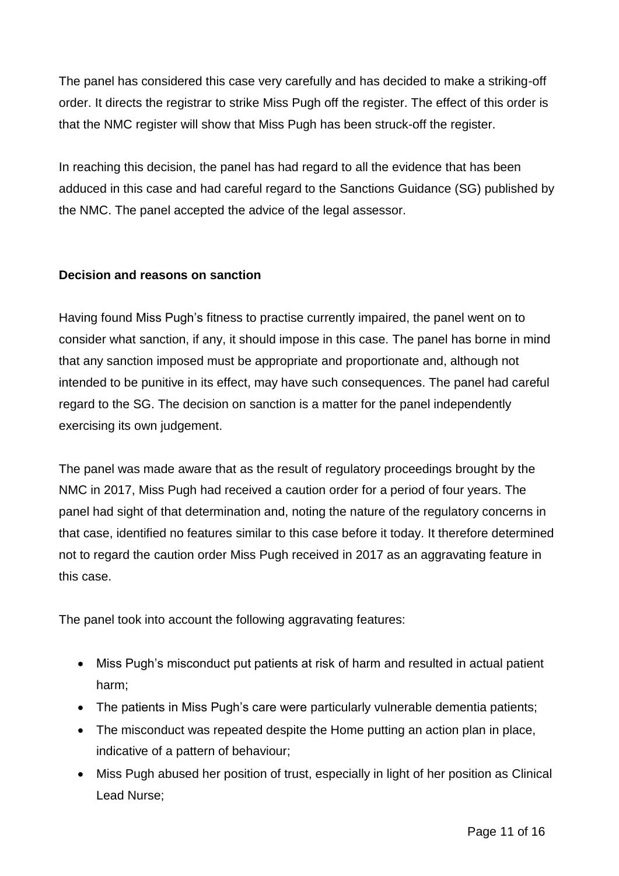The panel has considered this case very carefully and has decided to make a striking-off order. It directs the registrar to strike Miss Pugh off the register. The effect of this order is that the NMC register will show that Miss Pugh has been struck-off the register.

In reaching this decision, the panel has had regard to all the evidence that has been adduced in this case and had careful regard to the Sanctions Guidance (SG) published by the NMC. The panel accepted the advice of the legal assessor.

## **Decision and reasons on sanction**

Having found Miss Pugh's fitness to practise currently impaired, the panel went on to consider what sanction, if any, it should impose in this case. The panel has borne in mind that any sanction imposed must be appropriate and proportionate and, although not intended to be punitive in its effect, may have such consequences. The panel had careful regard to the SG. The decision on sanction is a matter for the panel independently exercising its own judgement.

The panel was made aware that as the result of regulatory proceedings brought by the NMC in 2017, Miss Pugh had received a caution order for a period of four years. The panel had sight of that determination and, noting the nature of the regulatory concerns in that case, identified no features similar to this case before it today. It therefore determined not to regard the caution order Miss Pugh received in 2017 as an aggravating feature in this case.

The panel took into account the following aggravating features:

- Miss Pugh's misconduct put patients at risk of harm and resulted in actual patient harm;
- The patients in Miss Pugh's care were particularly vulnerable dementia patients;
- The misconduct was repeated despite the Home putting an action plan in place, indicative of a pattern of behaviour;
- Miss Pugh abused her position of trust, especially in light of her position as Clinical Lead Nurse;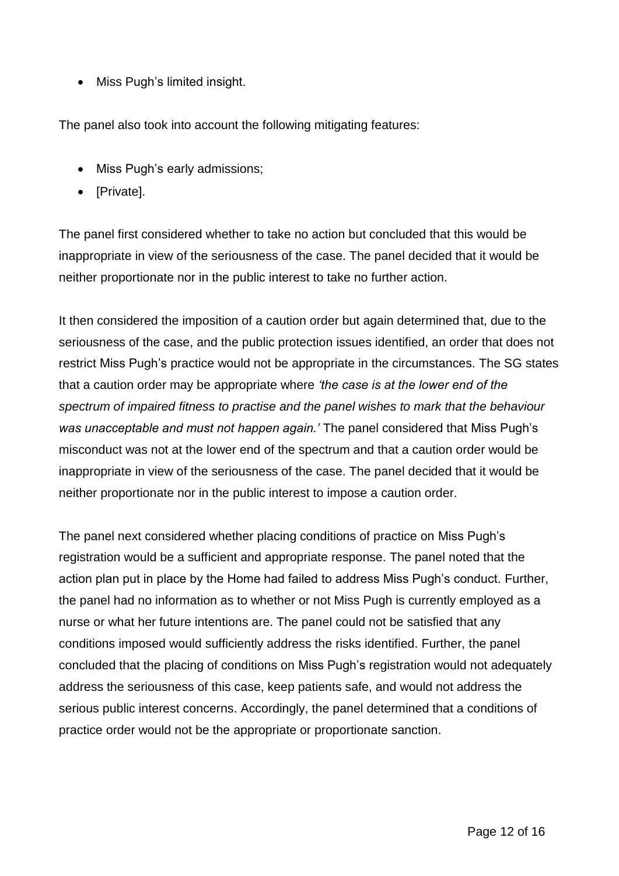• Miss Pugh's limited insight.

The panel also took into account the following mitigating features:

- Miss Pugh's early admissions;
- [Private].

The panel first considered whether to take no action but concluded that this would be inappropriate in view of the seriousness of the case. The panel decided that it would be neither proportionate nor in the public interest to take no further action.

It then considered the imposition of a caution order but again determined that, due to the seriousness of the case, and the public protection issues identified, an order that does not restrict Miss Pugh's practice would not be appropriate in the circumstances. The SG states that a caution order may be appropriate where *'the case is at the lower end of the spectrum of impaired fitness to practise and the panel wishes to mark that the behaviour was unacceptable and must not happen again.'* The panel considered that Miss Pugh's misconduct was not at the lower end of the spectrum and that a caution order would be inappropriate in view of the seriousness of the case. The panel decided that it would be neither proportionate nor in the public interest to impose a caution order.

The panel next considered whether placing conditions of practice on Miss Pugh's registration would be a sufficient and appropriate response. The panel noted that the action plan put in place by the Home had failed to address Miss Pugh's conduct. Further, the panel had no information as to whether or not Miss Pugh is currently employed as a nurse or what her future intentions are. The panel could not be satisfied that any conditions imposed would sufficiently address the risks identified. Further, the panel concluded that the placing of conditions on Miss Pugh's registration would not adequately address the seriousness of this case, keep patients safe, and would not address the serious public interest concerns. Accordingly, the panel determined that a conditions of practice order would not be the appropriate or proportionate sanction.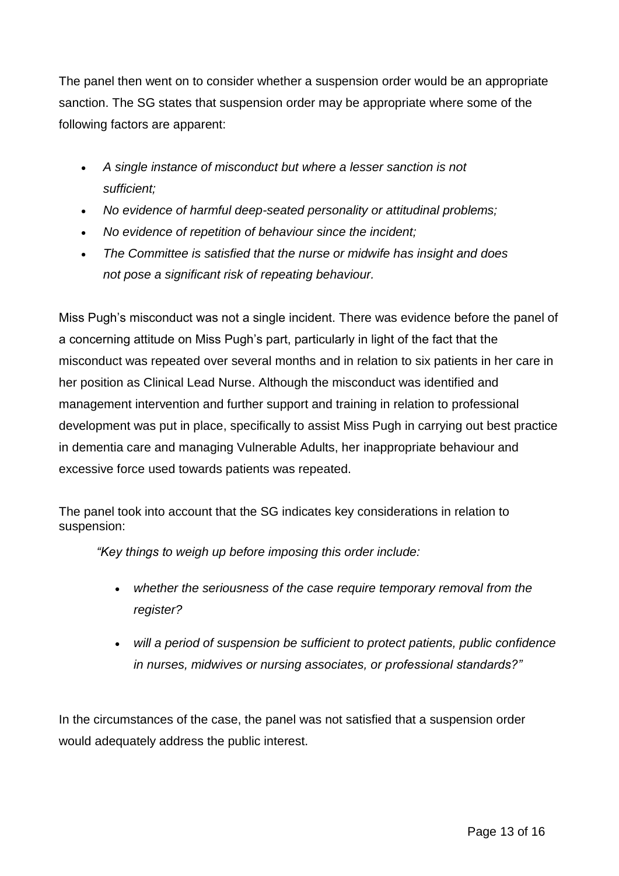The panel then went on to consider whether a suspension order would be an appropriate sanction. The SG states that suspension order may be appropriate where some of the following factors are apparent:

- *A single instance of misconduct but where a lesser sanction is not sufficient;*
- *No evidence of harmful deep-seated personality or attitudinal problems;*
- *No evidence of repetition of behaviour since the incident;*
- *The Committee is satisfied that the nurse or midwife has insight and does not pose a significant risk of repeating behaviour.*

Miss Pugh's misconduct was not a single incident. There was evidence before the panel of a concerning attitude on Miss Pugh's part, particularly in light of the fact that the misconduct was repeated over several months and in relation to six patients in her care in her position as Clinical Lead Nurse. Although the misconduct was identified and management intervention and further support and training in relation to professional development was put in place, specifically to assist Miss Pugh in carrying out best practice in dementia care and managing Vulnerable Adults, her inappropriate behaviour and excessive force used towards patients was repeated.

The panel took into account that the SG indicates key considerations in relation to suspension:

*"Key things to weigh up before imposing this order include:*

- *whether the seriousness of the case require temporary removal from the register?*
- *will a period of suspension be sufficient to protect patients, public confidence in nurses, midwives or nursing associates, or professional standards?"*

In the circumstances of the case, the panel was not satisfied that a suspension order would adequately address the public interest.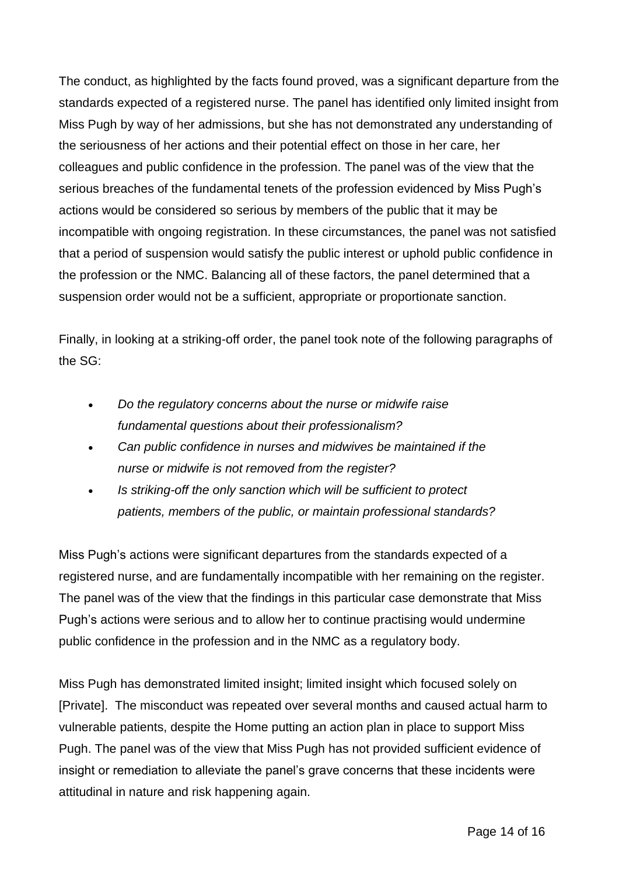The conduct, as highlighted by the facts found proved, was a significant departure from the standards expected of a registered nurse. The panel has identified only limited insight from Miss Pugh by way of her admissions, but she has not demonstrated any understanding of the seriousness of her actions and their potential effect on those in her care, her colleagues and public confidence in the profession. The panel was of the view that the serious breaches of the fundamental tenets of the profession evidenced by Miss Pugh's actions would be considered so serious by members of the public that it may be incompatible with ongoing registration. In these circumstances, the panel was not satisfied that a period of suspension would satisfy the public interest or uphold public confidence in the profession or the NMC. Balancing all of these factors, the panel determined that a suspension order would not be a sufficient, appropriate or proportionate sanction.

Finally, in looking at a striking-off order, the panel took note of the following paragraphs of the SG:

- *Do the regulatory concerns about the nurse or midwife raise fundamental questions about their professionalism?*
- *Can public confidence in nurses and midwives be maintained if the nurse or midwife is not removed from the register?*
- *Is striking-off the only sanction which will be sufficient to protect patients, members of the public, or maintain professional standards?*

Miss Pugh's actions were significant departures from the standards expected of a registered nurse, and are fundamentally incompatible with her remaining on the register. The panel was of the view that the findings in this particular case demonstrate that Miss Pugh's actions were serious and to allow her to continue practising would undermine public confidence in the profession and in the NMC as a regulatory body.

Miss Pugh has demonstrated limited insight; limited insight which focused solely on [Private]. The misconduct was repeated over several months and caused actual harm to vulnerable patients, despite the Home putting an action plan in place to support Miss Pugh. The panel was of the view that Miss Pugh has not provided sufficient evidence of insight or remediation to alleviate the panel's grave concerns that these incidents were attitudinal in nature and risk happening again.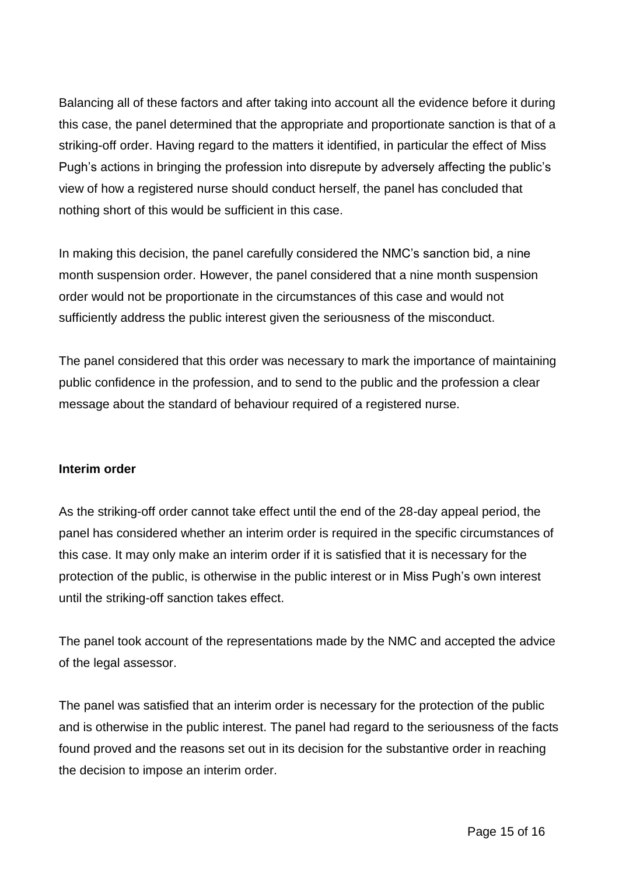Balancing all of these factors and after taking into account all the evidence before it during this case, the panel determined that the appropriate and proportionate sanction is that of a striking-off order. Having regard to the matters it identified, in particular the effect of Miss Pugh's actions in bringing the profession into disrepute by adversely affecting the public's view of how a registered nurse should conduct herself, the panel has concluded that nothing short of this would be sufficient in this case.

In making this decision, the panel carefully considered the NMC's sanction bid, a nine month suspension order. However, the panel considered that a nine month suspension order would not be proportionate in the circumstances of this case and would not sufficiently address the public interest given the seriousness of the misconduct.

The panel considered that this order was necessary to mark the importance of maintaining public confidence in the profession, and to send to the public and the profession a clear message about the standard of behaviour required of a registered nurse.

#### **Interim order**

As the striking-off order cannot take effect until the end of the 28-day appeal period, the panel has considered whether an interim order is required in the specific circumstances of this case. It may only make an interim order if it is satisfied that it is necessary for the protection of the public, is otherwise in the public interest or in Miss Pugh's own interest until the striking-off sanction takes effect.

The panel took account of the representations made by the NMC and accepted the advice of the legal assessor.

The panel was satisfied that an interim order is necessary for the protection of the public and is otherwise in the public interest. The panel had regard to the seriousness of the facts found proved and the reasons set out in its decision for the substantive order in reaching the decision to impose an interim order.